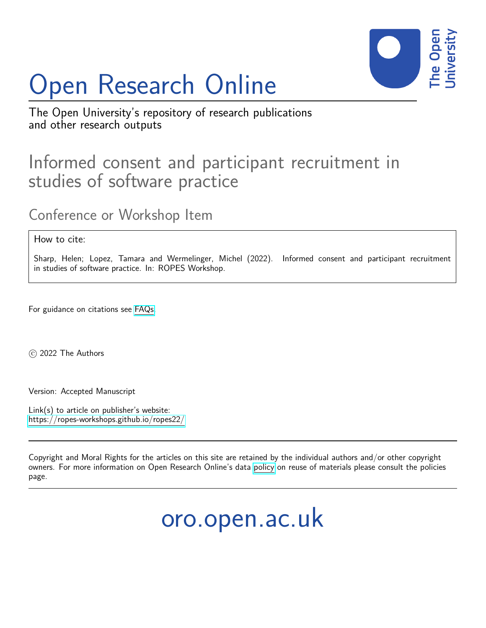# Open Research Online



The Open University's repository of research publications and other research outputs

### Informed consent and participant recruitment in studies of software practice

Conference or Workshop Item

How to cite:

Sharp, Helen; Lopez, Tamara and Wermelinger, Michel (2022). Informed consent and participant recruitment in studies of software practice. In: ROPES Workshop.

For guidance on citations see [FAQs.](http://oro.open.ac.uk/help/helpfaq.html)

c 2022 The Authors

Version: Accepted Manuscript

Link(s) to article on publisher's website: <https://ropes-workshops.github.io/ropes22/>

Copyright and Moral Rights for the articles on this site are retained by the individual authors and/or other copyright owners. For more information on Open Research Online's data [policy](http://oro.open.ac.uk/policies.html) on reuse of materials please consult the policies page.

## oro.open.ac.uk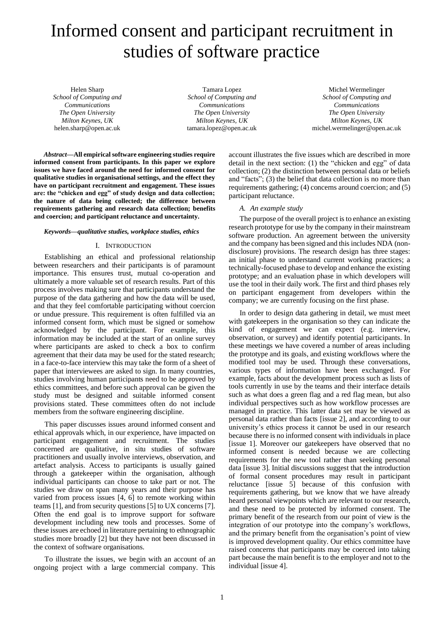## Informed consent and participant recruitment in studies of software practice

Helen Sharp *School of Computing and Communications The Open University Milton Keynes, UK* helen.sharp@open.ac.uk

Tamara Lopez *School of Computing and Communications The Open University Milton Keynes, UK* tamara.lopez@open.ac.uk

Michel Wermelinger *School of Computing and Communications The Open University Milton Keynes, UK* michel.wermelinger@open.ac.uk

*Abstract***—All empirical software engineering studies require informed consent from participants. In this paper we explore issues we have faced around the need for informed consent for qualitative studies in organisational settings, and the effect they have on participant recruitment and engagement. These issues are: the "chicken and egg" of study design and data collection; the nature of data being collected; the difference between requirements gathering and research data collection; benefits and coercion; and participant reluctance and uncertainty.**

#### *Keywords—qualitative studies, workplace studies, ethics*

#### I. INTRODUCTION

Establishing an ethical and professional relationship between researchers and their participants is of paramount importance. This ensures trust, mutual co-operation and ultimately a more valuable set of research results. Part of this process involves making sure that participants understand the purpose of the data gathering and how the data will be used, and that they feel comfortable participating without coercion or undue pressure. This requirement is often fulfilled via an informed consent form, which must be signed or somehow acknowledged by the participant. For example, this information may be included at the start of an online survey where participants are asked to check a box to confirm agreement that their data may be used for the stated research; in a face-to-face interview this may take the form of a sheet of paper that interviewees are asked to sign. In many countries, studies involving human participants need to be approved by ethics committees, and before such approval can be given the study must be designed and suitable informed consent provisions stated. These committees often do not include members from the software engineering discipline.

This paper discusses issues around informed consent and ethical approvals which, in our experience, have impacted on participant engagement and recruitment. The studies concerned are qualitative, in situ studies of software practitioners and usually involve interviews, observation, and artefact analysis. Access to participants is usually gained through a gatekeeper within the organisation, although individual participants can choose to take part or not. The studies we draw on span many years and their purpose has varied from process issues [4, 6] to remote working within teams [1], and from security questions [5] to UX concerns [7]. Often the end goal is to improve support for software development including new tools and processes. Some of these issues are echoed in literature pertaining to ethnographic studies more broadly [2] but they have not been discussed in the context of software organisations.

To illustrate the issues, we begin with an account of an ongoing project with a large commercial company. This

account illustrates the five issues which are described in more detail in the next section: (1) the "chicken and egg" of data collection; (2) the distinction between personal data or beliefs and "facts"; (3) the belief that data collection is no more than requirements gathering; (4) concerns around coercion; and (5) participant reluctance.

#### *A. An example study*

The purpose of the overall project is to enhance an existing research prototype for use by the company in their mainstream software production. An agreement between the university and the company has been signed and this includes NDA (nondisclosure) provisions. The research design has three stages: an initial phase to understand current working practices; a technically-focused phase to develop and enhance the existing prototype; and an evaluation phase in which developers will use the tool in their daily work. The first and third phases rely on participant engagement from developers within the company; we are currently focusing on the first phase.

In order to design data gathering in detail, we must meet with gatekeepers in the organisation so they can indicate the kind of engagement we can expect (e.g. interview, observation, or survey) and identify potential participants. In these meetings we have covered a number of areas including the prototype and its goals, and existing workflows where the modified tool may be used. Through these conversations, various types of information have been exchanged. For example, facts about the development process such as lists of tools currently in use by the teams and their interface details such as what does a green flag and a red flag mean, but also individual perspectives such as how workflow processes are managed in practice. This latter data set may be viewed as personal data rather than facts [issue 2], and according to our university's ethics process it cannot be used in our research because there is no informed consent with individuals in place [issue 1]. Moreover our gatekeepers have observed that no informed consent is needed because we are collecting requirements for the new tool rather than seeking personal data [issue 3]. Initial discussions suggest that the introduction of formal consent procedures may result in participant reluctance [issue 5] because of this confusion with requirements gathering, but we know that we have already heard personal viewpoints which are relevant to our research, and these need to be protected by informed consent. The primary benefit of the research from our point of view is the integration of our prototype into the company's workflows, and the primary benefit from the organisation's point of view is improved development quality. Our ethics committee have raised concerns that participants may be coerced into taking part because the main benefit is to the employer and not to the individual [issue 4].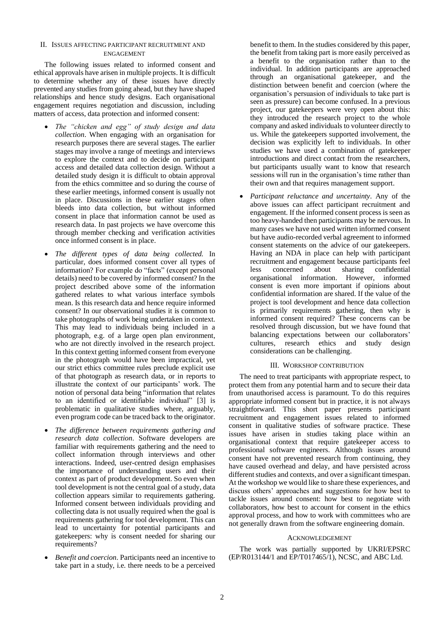#### II. ISSUES AFFECTING PARTICIPANT RECRUITMENT AND ENGAGEMENT

The following issues related to informed consent and ethical approvals have arisen in multiple projects. It is difficult to determine whether any of these issues have directly prevented any studies from going ahead, but they have shaped relationships and hence study designs. Each organisational engagement requires negotiation and discussion, including matters of access, data protection and informed consent:

- *The "chicken and egg" of study design and data collection*. When engaging with an organisation for research purposes there are several stages. The earlier stages may involve a range of meetings and interviews to explore the context and to decide on participant access and detailed data collection design. Without a detailed study design it is difficult to obtain approval from the ethics committee and so during the course of these earlier meetings, informed consent is usually not in place. Discussions in these earlier stages often bleeds into data collection, but without informed consent in place that information cannot be used as research data. In past projects we have overcome this through member checking and verification activities once informed consent is in place.
- *The different types of data being collected.* In particular, does informed consent cover all types of information? For example do "facts" (except personal details) need to be covered by informed consent? In the project described above some of the information gathered relates to what various interface symbols mean. Is this research data and hence require informed consent? In our observational studies it is common to take photographs of work being undertaken in context. This may lead to individuals being included in a photograph, e.g. of a large open plan environment, who are not directly involved in the research project. In this context getting informed consent from everyone in the photograph would have been impractical, yet our strict ethics committee rules preclude explicit use of that photograph as research data, or in reports to illustrate the context of our participants' work. The notion of personal data being "information that relates to an identified or identifiable individual" [3] is problematic in qualitative studies where, arguably, even program code can be traced back to the originator.
- *The difference between requirements gathering and research data collection*. Software developers are familiar with requirements gathering and the need to collect information through interviews and other interactions. Indeed, user-centred design emphasises the importance of understanding users and their context as part of product development. So even when tool development is not the central goal of a study, data collection appears similar to requirements gathering. Informed consent between individuals providing and collecting data is not usually required when the goal is requirements gathering for tool development. This can lead to uncertainty for potential participants and gatekeepers: why is consent needed for sharing our requirements?
- *Benefit and coercion*. Participants need an incentive to take part in a study, i.e. there needs to be a perceived

benefit to them. In the studies considered by this paper, the benefit from taking part is more easily perceived as a benefit to the organisation rather than to the individual. In addition participants are approached through an organisational gatekeeper, and the distinction between benefit and coercion (where the organisation's persuasion of individuals to take part is seen as pressure) can become confused. In a previous project, our gatekeepers were very open about this: they introduced the research project to the whole company and asked individuals to volunteer directly to us. While the gatekeepers supported involvement, the decision was explicitly left to individuals. In other studies we have used a combination of gatekeeper introductions and direct contact from the researchers, but participants usually want to know that research sessions will run in the organisation's time rather than their own and that requires management support.

• *Participant reluctance and uncertainty*. Any of the above issues can affect participant recruitment and engagement. If the informed consent process is seen as too heavy-handed then participants may be nervous. In many cases we have not used written informed consent but have audio-recorded verbal agreement to informed consent statements on the advice of our gatekeepers. Having an NDA in place can help with participant recruitment and engagement because participants feel less concerned about sharing confidential organisational information. However, informed consent is even more important if opinions about confidential information are shared. If the value of the project is tool development and hence data collection is primarily requirements gathering, then why is informed consent required? These concerns can be resolved through discussion, but we have found that balancing expectations between our collaborators' cultures, research ethics and study design considerations can be challenging.

#### III. WORKSHOP CONTRIBUTION

The need to treat participants with appropriate respect, to protect them from any potential harm and to secure their data from unauthorised access is paramount. To do this requires appropriate informed consent but in practice, it is not always straightforward. This short paper presents participant recruitment and engagement issues related to informed consent in qualitative studies of software practice. These issues have arisen in studies taking place within an organisational context that require gatekeeper access to professional software engineers. Although issues around consent have not prevented research from continuing, they have caused overhead and delay, and have persisted across different studies and contexts, and over a significant timespan. At the workshop we would like to share these experiences, and discuss others' approaches and suggestions for how best to tackle issues around consent: how best to negotiate with collaborators, how best to account for consent in the ethics approval process, and how to work with committees who are not generally drawn from the software engineering domain.

#### ACKNOWLEDGEMENT

The work was partially supported by UKRI/EPSRC (EP/R013144/1 and EP/T017465/1), NCSC, and ABC Ltd.